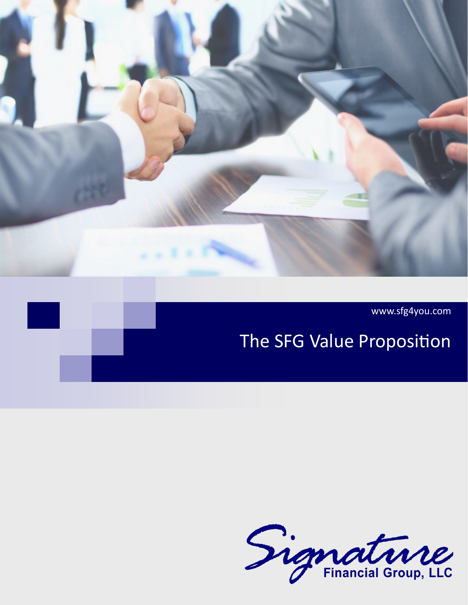

www.sfg4you.com

# The SFG Value Proposition

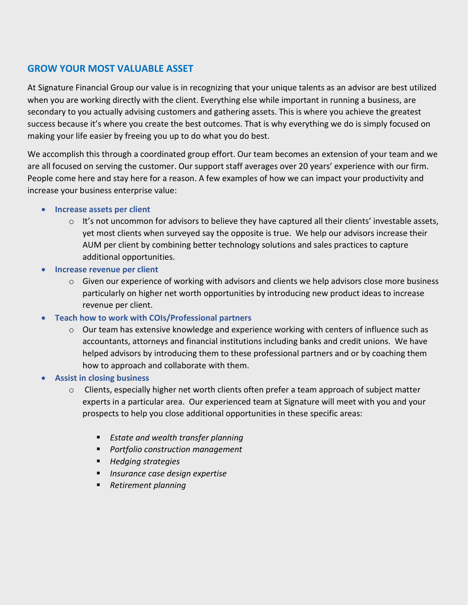# **GROW YOUR MOST VALUABLE ASSET**

At Signature Financial Group our value is in recognizing that your unique talents as an advisor are best utilized when you are working directly with the client. Everything else while important in running a business, are secondary to you actually advising customers and gathering assets. This is where you achieve the greatest success because it's where you create the best outcomes. That is why everything we do is simply focused on making your life easier by freeing you up to do what you do best.

We accomplish this through a coordinated group effort. Our team becomes an extension of your team and we are all focused on serving the customer. Our support staff averages over 20 years' experience with our firm. People come here and stay here for a reason. A few examples of how we can impact your productivity and increase your business enterprise value:

#### • **Increase assets per client**

- $\circ$  It's not uncommon for advisors to believe they have captured all their clients' investable assets, yet most clients when surveyed say the opposite is true. We help our advisors increase their AUM per client by combining better technology solutions and sales practices to capture additional opportunities.
- **Increase revenue per client**
	- o Given our experience of working with advisors and clients we help advisors close more business particularly on higher net worth opportunities by introducing new product ideas to increase revenue per client.
- **Teach how to work with COIs/Professional partners**
	- $\circ$  Our team has extensive knowledge and experience working with centers of influence such as accountants, attorneys and financial institutions including banks and credit unions. We have helped advisors by introducing them to these professional partners and or by coaching them how to approach and collaborate with them.
- **Assist in closing business**
	- $\circ$  Clients, especially higher net worth clients often prefer a team approach of subject matter experts in a particular area. Our experienced team at Signature will meet with you and your prospects to help you close additional opportunities in these specific areas:
		- *Estate and wealth transfer planning*
		- *Portfolio construction management*
		- *Hedging strategies*
		- *Insurance case design expertise*
		- *Retirement planning*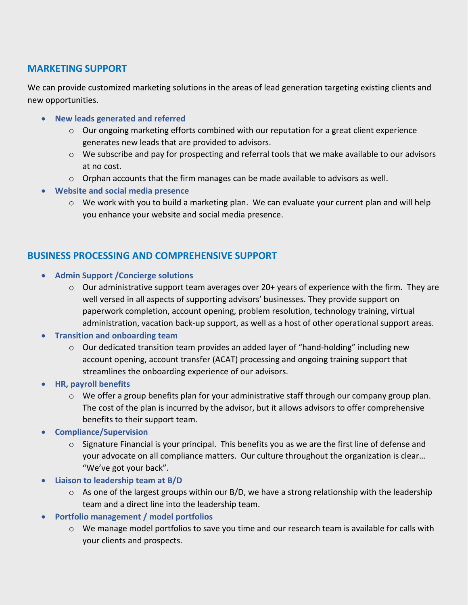#### **MARKETING SUPPORT**

We can provide customized marketing solutions in the areas of lead generation targeting existing clients and new opportunities.

- **New leads generated and referred**
	- $\circ$  Our ongoing marketing efforts combined with our reputation for a great client experience generates new leads that are provided to advisors.
	- $\circ$  We subscribe and pay for prospecting and referral tools that we make available to our advisors at no cost.
	- $\circ$  Orphan accounts that the firm manages can be made available to advisors as well.
- **Website and social media presence**
	- $\circ$  We work with you to build a marketing plan. We can evaluate your current plan and will help you enhance your website and social media presence.

### **BUSINESS PROCESSING AND COMPREHENSIVE SUPPORT**

- **Admin Support /Concierge solutions**
	- $\circ$  Our administrative support team averages over 20+ years of experience with the firm. They are well versed in all aspects of supporting advisors' businesses. They provide support on paperwork completion, account opening, problem resolution, technology training, virtual administration, vacation back-up support, as well as a host of other operational support areas.
- **Transition and onboarding team** 
	- $\circ$  Our dedicated transition team provides an added layer of "hand-holding" including new account opening, account transfer (ACAT) processing and ongoing training support that streamlines the onboarding experience of our advisors.
- **HR, payroll benefits** 
	- $\circ$  We offer a group benefits plan for your administrative staff through our company group plan. The cost of the plan is incurred by the advisor, but it allows advisors to offer comprehensive benefits to their support team.
- **Compliance/Supervision**
	- $\circ$  Signature Financial is your principal. This benefits you as we are the first line of defense and your advocate on all compliance matters. Our culture throughout the organization is clear… "We've got your back".
- **Liaison to leadership team at B/D**
	- $\circ$  As one of the largest groups within our B/D, we have a strong relationship with the leadership team and a direct line into the leadership team.
- **Portfolio management / model portfolios**
	- o We manage model portfolios to save you time and our research team is available for calls with your clients and prospects.